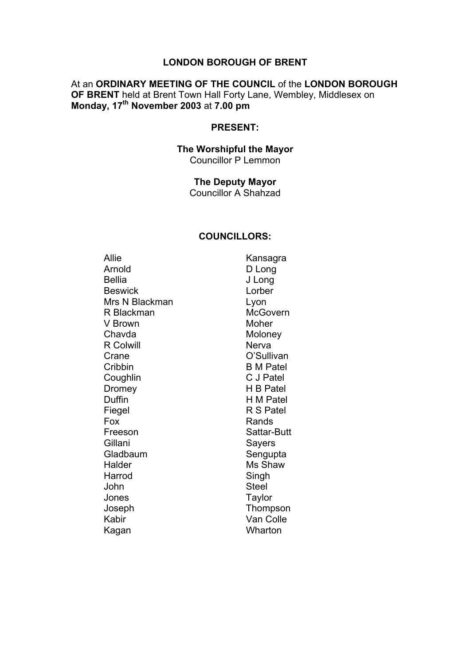#### **LONDON BOROUGH OF BRENT**

#### At an **ORDINARY MEETING OF THE COUNCIL** of the **LONDON BOROUGH OF BRENT** held at Brent Town Hall Forty Lane, Wembley, Middlesex on **Monday, 17th November 2003** at **7.00 pm**

#### **PRESENT:**

#### **The Worshipful the Mayor** Councillor P Lemmon

### **The Deputy Mayor**

Councillor A Shahzad

#### **COUNCILLORS:**

Allie Kansagra Arnold D Long Bellia J Long Beswick Lorber Mrs N Blackman Lyon R Blackman McGovern V Brown Moher Chavda Moloney R Colwill **Nerva** Crane O'Sullivan Cribbin B M Patel Coughlin C J Patel Dromey H B Patel Duffin **H M Patel** Fiegel R S Patel Fox Rands Freeson Sattar-Butt Gillani Sayers Gladbaum Sengupta Halder Ms Shaw Harrod Singh John Steel Jones Taylor Joseph Thompson Kabir Van Colle Kagan Wharton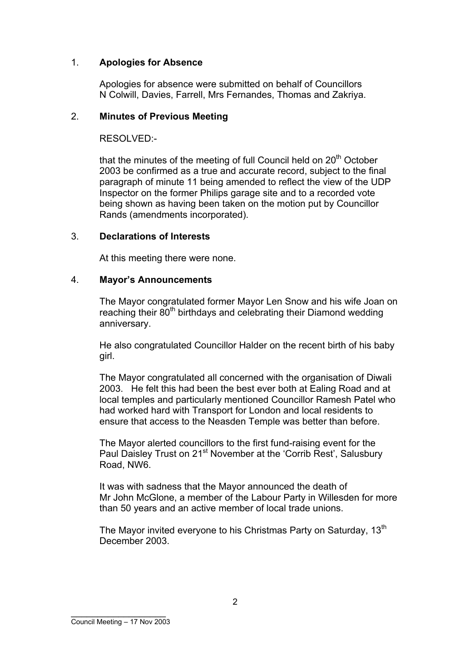# 1. **Apologies for Absence**

Apologies for absence were submitted on behalf of Councillors N Colwill, Davies, Farrell, Mrs Fernandes, Thomas and Zakriya.

### 2. **Minutes of Previous Meeting**

RESOLVED:-

that the minutes of the meeting of full Council held on  $20<sup>th</sup>$  October 2003 be confirmed as a true and accurate record, subject to the final paragraph of minute 11 being amended to reflect the view of the UDP Inspector on the former Philips garage site and to a recorded vote being shown as having been taken on the motion put by Councillor Rands (amendments incorporated).

### 3. **Declarations of Interests**

At this meeting there were none.

### 4. **Mayor's Announcements**

The Mayor congratulated former Mayor Len Snow and his wife Joan on reaching their 80<sup>th</sup> birthdays and celebrating their Diamond wedding anniversary.

He also congratulated Councillor Halder on the recent birth of his baby girl.

The Mayor congratulated all concerned with the organisation of Diwali 2003. He felt this had been the best ever both at Ealing Road and at local temples and particularly mentioned Councillor Ramesh Patel who had worked hard with Transport for London and local residents to ensure that access to the Neasden Temple was better than before.

The Mayor alerted councillors to the first fund-raising event for the Paul Daisley Trust on 21<sup>st</sup> November at the 'Corrib Rest', Salusbury Road, NW6.

It was with sadness that the Mayor announced the death of Mr John McGlone, a member of the Labour Party in Willesden for more than 50 years and an active member of local trade unions.

The Mayor invited everyone to his Christmas Party on Saturday, 13<sup>th</sup> December 2003.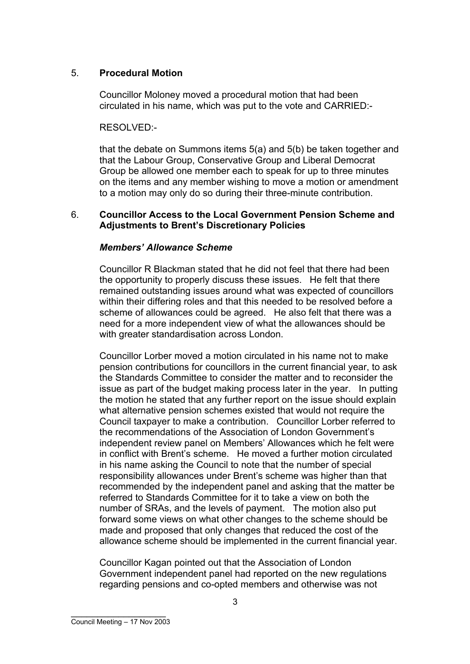## 5. **Procedural Motion**

Councillor Moloney moved a procedural motion that had been circulated in his name, which was put to the vote and CARRIED:-

## RESOLVED:-

that the debate on Summons items 5(a) and 5(b) be taken together and that the Labour Group, Conservative Group and Liberal Democrat Group be allowed one member each to speak for up to three minutes on the items and any member wishing to move a motion or amendment to a motion may only do so during their three-minute contribution.

### 6. **Councillor Access to the Local Government Pension Scheme and Adjustments to Brent's Discretionary Policies**

# *Members' Allowance Scheme*

Councillor R Blackman stated that he did not feel that there had been the opportunity to properly discuss these issues. He felt that there remained outstanding issues around what was expected of councillors within their differing roles and that this needed to be resolved before a scheme of allowances could be agreed. He also felt that there was a need for a more independent view of what the allowances should be with greater standardisation across London.

Councillor Lorber moved a motion circulated in his name not to make pension contributions for councillors in the current financial year, to ask the Standards Committee to consider the matter and to reconsider the issue as part of the budget making process later in the year. In putting the motion he stated that any further report on the issue should explain what alternative pension schemes existed that would not require the Council taxpayer to make a contribution. Councillor Lorber referred to the recommendations of the Association of London Government's independent review panel on Members' Allowances which he felt were in conflict with Brent's scheme. He moved a further motion circulated in his name asking the Council to note that the number of special responsibility allowances under Brent's scheme was higher than that recommended by the independent panel and asking that the matter be referred to Standards Committee for it to take a view on both the number of SRAs, and the levels of payment. The motion also put forward some views on what other changes to the scheme should be made and proposed that only changes that reduced the cost of the allowance scheme should be implemented in the current financial year.

Councillor Kagan pointed out that the Association of London Government independent panel had reported on the new regulations regarding pensions and co-opted members and otherwise was not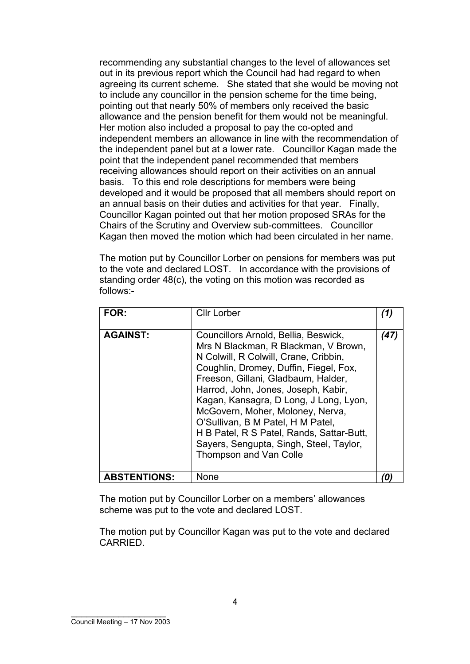recommending any substantial changes to the level of allowances set out in its previous report which the Council had had regard to when agreeing its current scheme. She stated that she would be moving not to include any councillor in the pension scheme for the time being, pointing out that nearly 50% of members only received the basic allowance and the pension benefit for them would not be meaningful. Her motion also included a proposal to pay the co-opted and independent members an allowance in line with the recommendation of the independent panel but at a lower rate. Councillor Kagan made the point that the independent panel recommended that members receiving allowances should report on their activities on an annual basis. To this end role descriptions for members were being developed and it would be proposed that all members should report on an annual basis on their duties and activities for that year. Finally, Councillor Kagan pointed out that her motion proposed SRAs for the Chairs of the Scrutiny and Overview sub-committees. Councillor Kagan then moved the motion which had been circulated in her name.

The motion put by Councillor Lorber on pensions for members was put to the vote and declared LOST. In accordance with the provisions of standing order 48(c), the voting on this motion was recorded as follows:-

| <b>FOR:</b>         | <b>Cllr Lorber</b>                                                                                                                                                                                                                                                                                                                                                                                                                                                                        | 11   |
|---------------------|-------------------------------------------------------------------------------------------------------------------------------------------------------------------------------------------------------------------------------------------------------------------------------------------------------------------------------------------------------------------------------------------------------------------------------------------------------------------------------------------|------|
| <b>AGAINST:</b>     | Councillors Arnold, Bellia, Beswick,<br>Mrs N Blackman, R Blackman, V Brown,<br>N Colwill, R Colwill, Crane, Cribbin,<br>Coughlin, Dromey, Duffin, Fiegel, Fox,<br>Freeson, Gillani, Gladbaum, Halder,<br>Harrod, John, Jones, Joseph, Kabir,<br>Kagan, Kansagra, D Long, J Long, Lyon,<br>McGovern, Moher, Moloney, Nerva,<br>O'Sullivan, B M Patel, H M Patel,<br>H B Patel, R S Patel, Rands, Sattar-Butt,<br>Sayers, Sengupta, Singh, Steel, Taylor,<br><b>Thompson and Van Colle</b> | (47) |
| <b>ABSTENTIONS:</b> | None                                                                                                                                                                                                                                                                                                                                                                                                                                                                                      |      |

The motion put by Councillor Lorber on a members' allowances scheme was put to the vote and declared LOST.

The motion put by Councillor Kagan was put to the vote and declared CARRIED.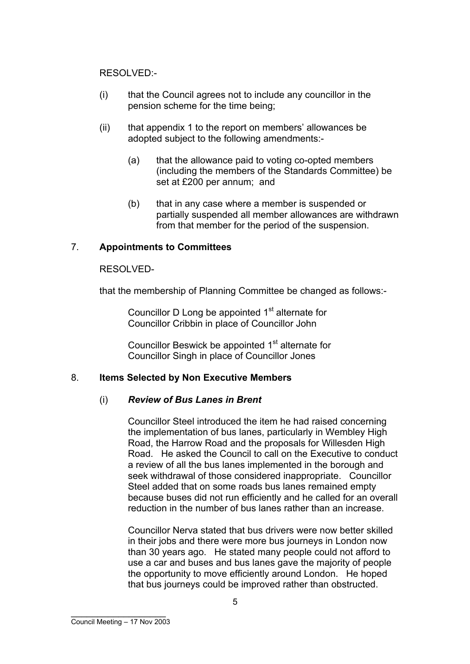RESOLVED:-

- (i) that the Council agrees not to include any councillor in the pension scheme for the time being;
- (ii) that appendix 1 to the report on members' allowances be adopted subject to the following amendments:-
	- (a) that the allowance paid to voting co-opted members (including the members of the Standards Committee) be set at £200 per annum; and
	- (b) that in any case where a member is suspended or partially suspended all member allowances are withdrawn from that member for the period of the suspension.

# 7. **Appointments to Committees**

### RESOLVED-

that the membership of Planning Committee be changed as follows:-

Councillor D Long be appointed 1<sup>st</sup> alternate for Councillor Cribbin in place of Councillor John

Councillor Beswick be appointed 1<sup>st</sup> alternate for Councillor Singh in place of Councillor Jones

### 8. **Items Selected by Non Executive Members**

### (i) *Review of Bus Lanes in Brent*

Councillor Steel introduced the item he had raised concerning the implementation of bus lanes, particularly in Wembley High Road, the Harrow Road and the proposals for Willesden High Road. He asked the Council to call on the Executive to conduct a review of all the bus lanes implemented in the borough and seek withdrawal of those considered inappropriate. Councillor Steel added that on some roads bus lanes remained empty because buses did not run efficiently and he called for an overall reduction in the number of bus lanes rather than an increase.

Councillor Nerva stated that bus drivers were now better skilled in their jobs and there were more bus journeys in London now than 30 years ago. He stated many people could not afford to use a car and buses and bus lanes gave the majority of people the opportunity to move efficiently around London. He hoped that bus journeys could be improved rather than obstructed.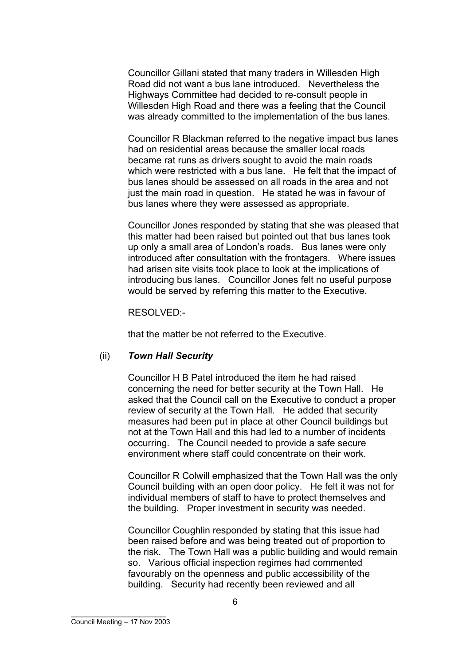Councillor Gillani stated that many traders in Willesden High Road did not want a bus lane introduced. Nevertheless the Highways Committee had decided to re-consult people in Willesden High Road and there was a feeling that the Council was already committed to the implementation of the bus lanes.

Councillor R Blackman referred to the negative impact bus lanes had on residential areas because the smaller local roads became rat runs as drivers sought to avoid the main roads which were restricted with a bus lane. He felt that the impact of bus lanes should be assessed on all roads in the area and not just the main road in question. He stated he was in favour of bus lanes where they were assessed as appropriate.

Councillor Jones responded by stating that she was pleased that this matter had been raised but pointed out that bus lanes took up only a small area of London's roads. Bus lanes were only introduced after consultation with the frontagers. Where issues had arisen site visits took place to look at the implications of introducing bus lanes. Councillor Jones felt no useful purpose would be served by referring this matter to the Executive.

RESOLVED:-

that the matter be not referred to the Executive.

#### (ii) *Town Hall Security*

Councillor H B Patel introduced the item he had raised concerning the need for better security at the Town Hall. He asked that the Council call on the Executive to conduct a proper review of security at the Town Hall. He added that security measures had been put in place at other Council buildings but not at the Town Hall and this had led to a number of incidents occurring. The Council needed to provide a safe secure environment where staff could concentrate on their work.

Councillor R Colwill emphasized that the Town Hall was the only Council building with an open door policy. He felt it was not for individual members of staff to have to protect themselves and the building. Proper investment in security was needed.

Councillor Coughlin responded by stating that this issue had been raised before and was being treated out of proportion to the risk. The Town Hall was a public building and would remain so. Various official inspection regimes had commented favourably on the openness and public accessibility of the building. Security had recently been reviewed and all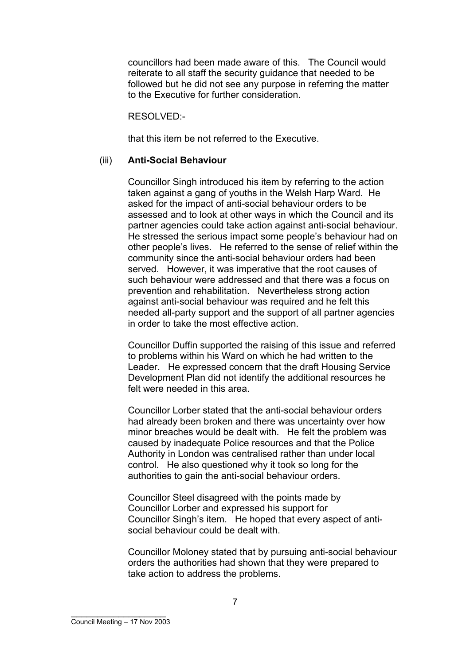councillors had been made aware of this. The Council would reiterate to all staff the security guidance that needed to be followed but he did not see any purpose in referring the matter to the Executive for further consideration.

RESOLVED:-

that this item be not referred to the Executive.

### (iii) **Anti-Social Behaviour**

Councillor Singh introduced his item by referring to the action taken against a gang of youths in the Welsh Harp Ward. He asked for the impact of anti-social behaviour orders to be assessed and to look at other ways in which the Council and its partner agencies could take action against anti-social behaviour. He stressed the serious impact some people's behaviour had on other people's lives. He referred to the sense of relief within the community since the anti-social behaviour orders had been served. However, it was imperative that the root causes of such behaviour were addressed and that there was a focus on prevention and rehabilitation. Nevertheless strong action against anti-social behaviour was required and he felt this needed all-party support and the support of all partner agencies in order to take the most effective action.

Councillor Duffin supported the raising of this issue and referred to problems within his Ward on which he had written to the Leader. He expressed concern that the draft Housing Service Development Plan did not identify the additional resources he felt were needed in this area.

Councillor Lorber stated that the anti-social behaviour orders had already been broken and there was uncertainty over how minor breaches would be dealt with. He felt the problem was caused by inadequate Police resources and that the Police Authority in London was centralised rather than under local control. He also questioned why it took so long for the authorities to gain the anti-social behaviour orders.

Councillor Steel disagreed with the points made by Councillor Lorber and expressed his support for Councillor Singh's item. He hoped that every aspect of antisocial behaviour could be dealt with.

Councillor Moloney stated that by pursuing anti-social behaviour orders the authorities had shown that they were prepared to take action to address the problems.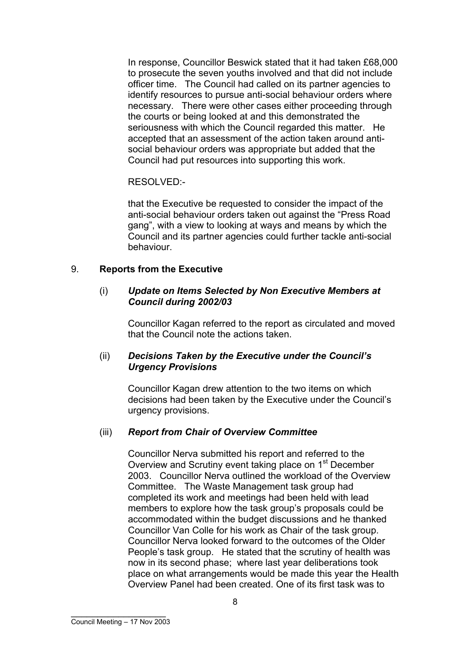In response, Councillor Beswick stated that it had taken £68,000 to prosecute the seven youths involved and that did not include officer time. The Council had called on its partner agencies to identify resources to pursue anti-social behaviour orders where necessary. There were other cases either proceeding through the courts or being looked at and this demonstrated the seriousness with which the Council regarded this matter. He accepted that an assessment of the action taken around antisocial behaviour orders was appropriate but added that the Council had put resources into supporting this work.

RESOLVED:-

that the Executive be requested to consider the impact of the anti-social behaviour orders taken out against the "Press Road gang", with a view to looking at ways and means by which the Council and its partner agencies could further tackle anti-social behaviour.

# 9. **Reports from the Executive**

### (i) *Update on Items Selected by Non Executive Members at Council during 2002/03*

Councillor Kagan referred to the report as circulated and moved that the Council note the actions taken.

### (ii) *Decisions Taken by the Executive under the Council's Urgency Provisions*

Councillor Kagan drew attention to the two items on which decisions had been taken by the Executive under the Council's urgency provisions.

# (iii) *Report from Chair of Overview Committee*

Councillor Nerva submitted his report and referred to the Overview and Scrutiny event taking place on 1<sup>st</sup> December 2003. Councillor Nerva outlined the workload of the Overview Committee. The Waste Management task group had completed its work and meetings had been held with lead members to explore how the task group's proposals could be accommodated within the budget discussions and he thanked Councillor Van Colle for his work as Chair of the task group. Councillor Nerva looked forward to the outcomes of the Older People's task group. He stated that the scrutiny of health was now in its second phase; where last year deliberations took place on what arrangements would be made this year the Health Overview Panel had been created. One of its first task was to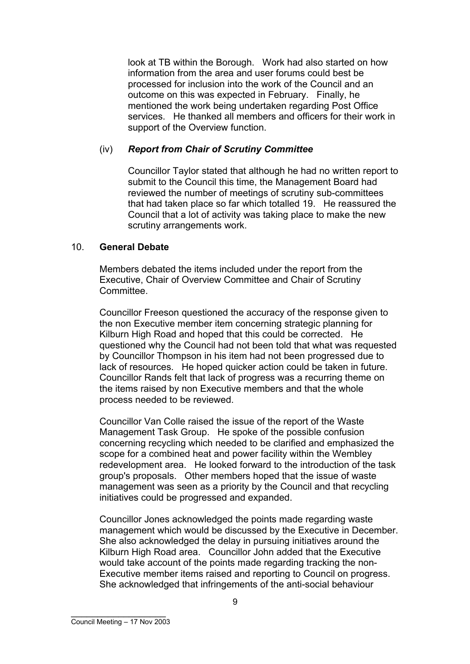look at TB within the Borough. Work had also started on how information from the area and user forums could best be processed for inclusion into the work of the Council and an outcome on this was expected in February. Finally, he mentioned the work being undertaken regarding Post Office services. He thanked all members and officers for their work in support of the Overview function.

## (iv) *Report from Chair of Scrutiny Committee*

Councillor Taylor stated that although he had no written report to submit to the Council this time, the Management Board had reviewed the number of meetings of scrutiny sub-committees that had taken place so far which totalled 19. He reassured the Council that a lot of activity was taking place to make the new scrutiny arrangements work.

# 10. **General Debate**

Members debated the items included under the report from the Executive, Chair of Overview Committee and Chair of Scrutiny **Committee.** 

Councillor Freeson questioned the accuracy of the response given to the non Executive member item concerning strategic planning for Kilburn High Road and hoped that this could be corrected. He questioned why the Council had not been told that what was requested by Councillor Thompson in his item had not been progressed due to lack of resources. He hoped quicker action could be taken in future. Councillor Rands felt that lack of progress was a recurring theme on the items raised by non Executive members and that the whole process needed to be reviewed.

Councillor Van Colle raised the issue of the report of the Waste Management Task Group. He spoke of the possible confusion concerning recycling which needed to be clarified and emphasized the scope for a combined heat and power facility within the Wembley redevelopment area. He looked forward to the introduction of the task group's proposals. Other members hoped that the issue of waste management was seen as a priority by the Council and that recycling initiatives could be progressed and expanded.

Councillor Jones acknowledged the points made regarding waste management which would be discussed by the Executive in December. She also acknowledged the delay in pursuing initiatives around the Kilburn High Road area. Councillor John added that the Executive would take account of the points made regarding tracking the non-Executive member items raised and reporting to Council on progress. She acknowledged that infringements of the anti-social behaviour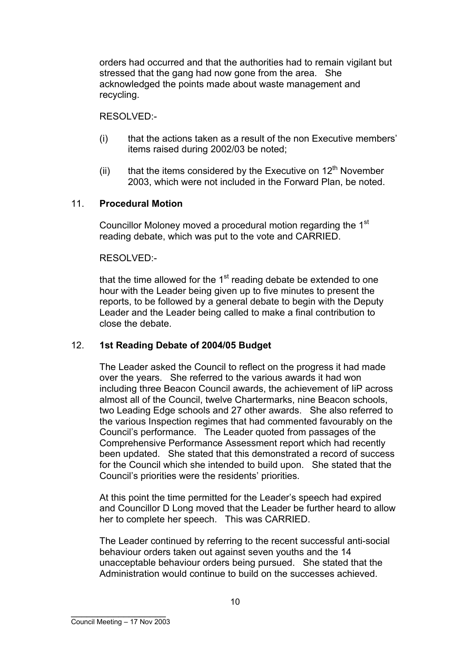orders had occurred and that the authorities had to remain vigilant but stressed that the gang had now gone from the area. She acknowledged the points made about waste management and recycling.

RESOLVED:-

- (i) that the actions taken as a result of the non Executive members' items raised during 2002/03 be noted;
- (ii) that the items considered by the Executive on  $12<sup>th</sup>$  November 2003, which were not included in the Forward Plan, be noted.

# 11. **Procedural Motion**

Councillor Moloney moved a procedural motion regarding the 1<sup>st</sup> reading debate, which was put to the vote and CARRIED.

# RESOLVED:-

that the time allowed for the  $1<sup>st</sup>$  reading debate be extended to one hour with the Leader being given up to five minutes to present the reports, to be followed by a general debate to begin with the Deputy Leader and the Leader being called to make a final contribution to close the debate.

# 12. **1st Reading Debate of 2004/05 Budget**

The Leader asked the Council to reflect on the progress it had made over the years. She referred to the various awards it had won including three Beacon Council awards, the achievement of IiP across almost all of the Council, twelve Chartermarks, nine Beacon schools, two Leading Edge schools and 27 other awards. She also referred to the various Inspection regimes that had commented favourably on the Council's performance. The Leader quoted from passages of the Comprehensive Performance Assessment report which had recently been updated. She stated that this demonstrated a record of success for the Council which she intended to build upon. She stated that the Council's priorities were the residents' priorities.

At this point the time permitted for the Leader's speech had expired and Councillor D Long moved that the Leader be further heard to allow her to complete her speech. This was CARRIED.

The Leader continued by referring to the recent successful anti-social behaviour orders taken out against seven youths and the 14 unacceptable behaviour orders being pursued. She stated that the Administration would continue to build on the successes achieved.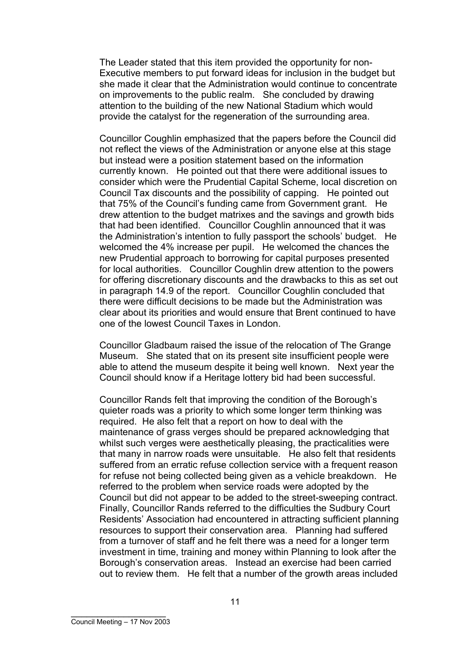The Leader stated that this item provided the opportunity for non-Executive members to put forward ideas for inclusion in the budget but she made it clear that the Administration would continue to concentrate on improvements to the public realm. She concluded by drawing attention to the building of the new National Stadium which would provide the catalyst for the regeneration of the surrounding area.

Councillor Coughlin emphasized that the papers before the Council did not reflect the views of the Administration or anyone else at this stage but instead were a position statement based on the information currently known. He pointed out that there were additional issues to consider which were the Prudential Capital Scheme, local discretion on Council Tax discounts and the possibility of capping. He pointed out that 75% of the Council's funding came from Government grant. He drew attention to the budget matrixes and the savings and growth bids that had been identified. Councillor Coughlin announced that it was the Administration's intention to fully passport the schools' budget. He welcomed the 4% increase per pupil. He welcomed the chances the new Prudential approach to borrowing for capital purposes presented for local authorities. Councillor Coughlin drew attention to the powers for offering discretionary discounts and the drawbacks to this as set out in paragraph 14.9 of the report. Councillor Coughlin concluded that there were difficult decisions to be made but the Administration was clear about its priorities and would ensure that Brent continued to have one of the lowest Council Taxes in London.

Councillor Gladbaum raised the issue of the relocation of The Grange Museum. She stated that on its present site insufficient people were able to attend the museum despite it being well known. Next year the Council should know if a Heritage lottery bid had been successful.

Councillor Rands felt that improving the condition of the Borough's quieter roads was a priority to which some longer term thinking was required. He also felt that a report on how to deal with the maintenance of grass verges should be prepared acknowledging that whilst such verges were aesthetically pleasing, the practicalities were that many in narrow roads were unsuitable. He also felt that residents suffered from an erratic refuse collection service with a frequent reason for refuse not being collected being given as a vehicle breakdown. He referred to the problem when service roads were adopted by the Council but did not appear to be added to the street-sweeping contract. Finally, Councillor Rands referred to the difficulties the Sudbury Court Residents' Association had encountered in attracting sufficient planning resources to support their conservation area. Planning had suffered from a turnover of staff and he felt there was a need for a longer term investment in time, training and money within Planning to look after the Borough's conservation areas. Instead an exercise had been carried out to review them. He felt that a number of the growth areas included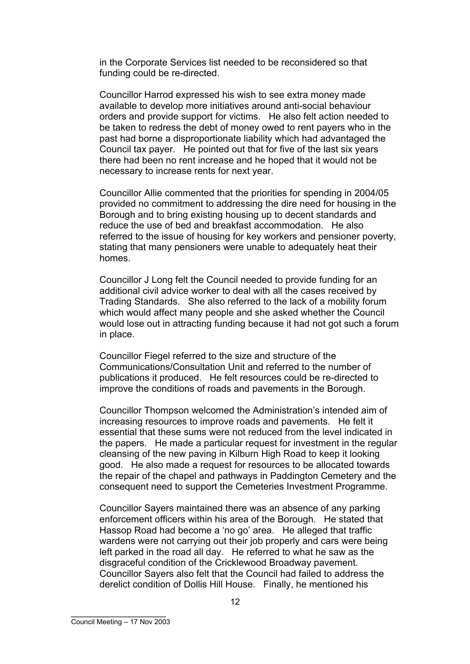in the Corporate Services list needed to be reconsidered so that funding could be re-directed.

Councillor Harrod expressed his wish to see extra money made available to develop more initiatives around anti-social behaviour orders and provide support for victims. He also felt action needed to be taken to redress the debt of money owed to rent payers who in the past had borne a disproportionate liability which had advantaged the Council tax payer. He pointed out that for five of the last six years there had been no rent increase and he hoped that it would not be necessary to increase rents for next year.

Councillor Allie commented that the priorities for spending in 2004/05 provided no commitment to addressing the dire need for housing in the Borough and to bring existing housing up to decent standards and reduce the use of bed and breakfast accommodation. He also referred to the issue of housing for key workers and pensioner poverty, stating that many pensioners were unable to adequately heat their homes.

Councillor J Long felt the Council needed to provide funding for an additional civil advice worker to deal with all the cases received by Trading Standards. She also referred to the lack of a mobility forum which would affect many people and she asked whether the Council would lose out in attracting funding because it had not got such a forum in place.

Councillor Fiegel referred to the size and structure of the Communications/Consultation Unit and referred to the number of publications it produced. He felt resources could be re-directed to improve the conditions of roads and pavements in the Borough.

Councillor Thompson welcomed the Administration's intended aim of increasing resources to improve roads and pavements. He felt it essential that these sums were not reduced from the level indicated in the papers. He made a particular request for investment in the regular cleansing of the new paving in Kilburn High Road to keep it looking good. He also made a request for resources to be allocated towards the repair of the chapel and pathways in Paddington Cemetery and the consequent need to support the Cemeteries Investment Programme.

Councillor Sayers maintained there was an absence of any parking enforcement officers within his area of the Borough. He stated that Hassop Road had become a 'no go' area. He alleged that traffic wardens were not carrying out their job properly and cars were being left parked in the road all day. He referred to what he saw as the disgraceful condition of the Cricklewood Broadway pavement. Councillor Sayers also felt that the Council had failed to address the derelict condition of Dollis Hill House. Finally, he mentioned his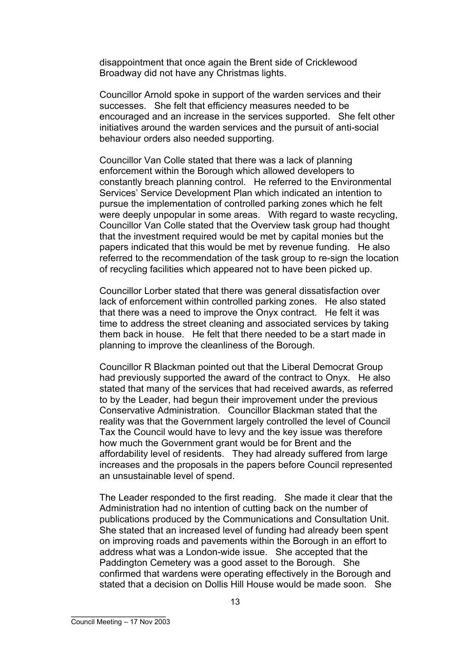disappointment that once again the Brent side of Cricklewood Broadway did not have any Christmas lights.

Councillor Arnold spoke in support of the warden services and their successes. She felt that efficiency measures needed to be encouraged and an increase in the services supported. She felt other initiatives around the warden services and the pursuit of anti-social behaviour orders also needed supporting.

Councillor Van Colle stated that there was a lack of planning enforcement within the Borough which allowed developers to constantly breach planning control. He referred to the Environmental Services' Service Development Plan which indicated an intention to pursue the implementation of controlled parking zones which he felt were deeply unpopular in some areas. With regard to waste recycling, Councillor Van Colle stated that the Overview task group had thought that the investment required would be met by capital monies but the papers indicated that this would be met by revenue funding. He also referred to the recommendation of the task group to re-sign the location of recycling facilities which appeared not to have been picked up.

Councillor Lorber stated that there was general dissatisfaction over lack of enforcement within controlled parking zones. He also stated that there was a need to improve the Onyx contract. He felt it was time to address the street cleaning and associated services by taking them back in house. He felt that there needed to be a start made in planning to improve the cleanliness of the Borough.

Councillor R Blackman pointed out that the Liberal Democrat Group had previously supported the award of the contract to Onyx. He also stated that many of the services that had received awards, as referred to by the Leader, had begun their improvement under the previous Conservative Administration. Councillor Blackman stated that the reality was that the Government largely controlled the level of Council Tax the Council would have to levy and the key issue was therefore how much the Government grant would be for Brent and the affordability level of residents. They had already suffered from large increases and the proposals in the papers before Council represented an unsustainable level of spend.

The Leader responded to the first reading. She made it clear that the Administration had no intention of cutting back on the number of publications produced by the Communications and Consultation Unit. She stated that an increased level of funding had already been spent on improving roads and pavements within the Borough in an effort to address what was a London-wide issue. She accepted that the Paddington Cemetery was a good asset to the Borough. She confirmed that wardens were operating effectively in the Borough and stated that a decision on Dollis Hill House would be made soon. She